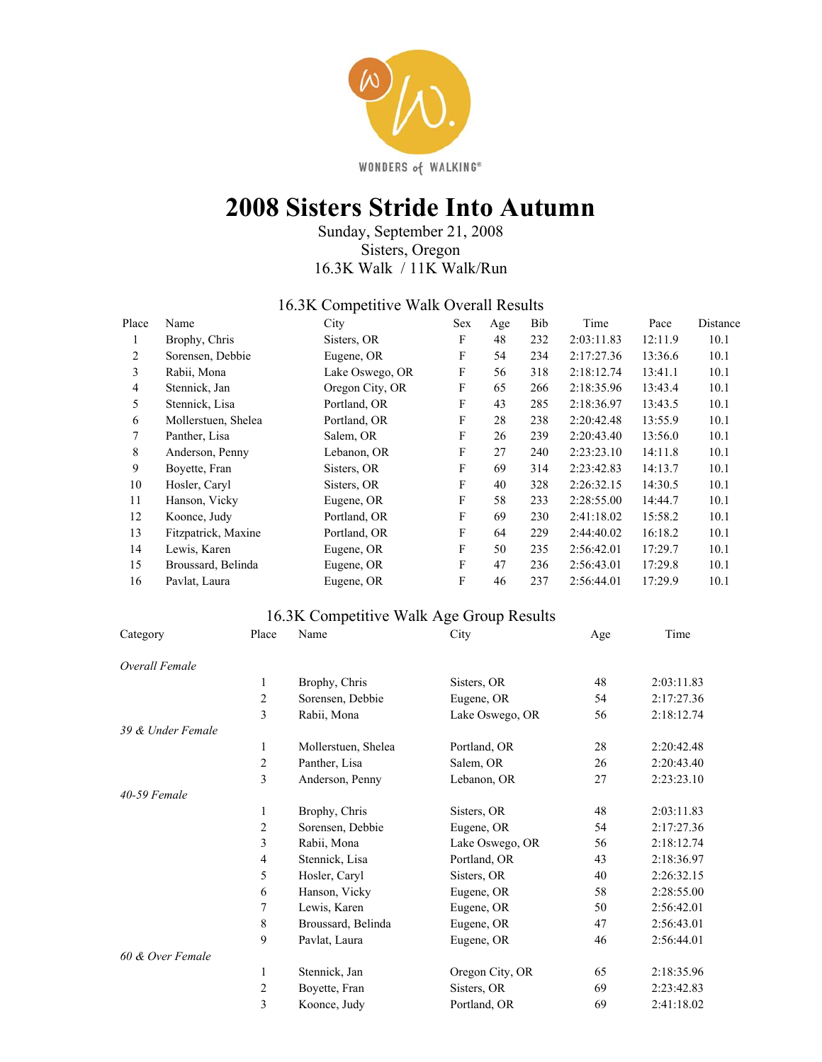

# **2008 Sisters Stride Into Autumn**

Sunday, September 21, 2008 Sisters, Oregon 16.3K Walk / 11K Walk/Run

#### 16.3K Competitive Walk Overall Results

| Place | Name                | City            | <b>Sex</b> | Age | Bib | Time       | Pace    | Distance |
|-------|---------------------|-----------------|------------|-----|-----|------------|---------|----------|
| л.    | Brophy, Chris       | Sisters, OR     | F          | 48  | 232 | 2:03:11.83 | 12:11.9 | 10.1     |
| 2     | Sorensen, Debbie    | Eugene, OR      | F          | 54  | 234 | 2:17:27.36 | 13:36.6 | 10.1     |
| 3     | Rabii, Mona         | Lake Oswego, OR | F          | 56  | 318 | 2:18:12.74 | 13:41.1 | 10.1     |
| 4     | Stennick, Jan       | Oregon City, OR | F          | 65  | 266 | 2:18:35.96 | 13:43.4 | 10.1     |
| 5     | Stennick, Lisa      | Portland, OR    | F          | 43  | 285 | 2:18:36.97 | 13:43.5 | 10.1     |
| 6     | Mollerstuen, Shelea | Portland, OR    | F          | 28  | 238 | 2:20:42.48 | 13:55.9 | 10.1     |
| 7     | Panther, Lisa       | Salem, OR       | F          | 26  | 239 | 2:20:43.40 | 13:56.0 | 10.1     |
| 8     | Anderson, Penny     | Lebanon, OR     | F          | 27  | 240 | 2:23:23.10 | 14:11.8 | 10.1     |
| 9     | Boyette, Fran       | Sisters, OR     | F          | 69  | 314 | 2:23:42.83 | 14:13.7 | 10.1     |
| 10    | Hosler, Caryl       | Sisters, OR     | F          | 40  | 328 | 2:26:32.15 | 14:30.5 | 10.1     |
| 11    | Hanson, Vicky       | Eugene, OR      | F          | 58  | 233 | 2:28:55.00 | 14:44.7 | 10.1     |
| 12    | Koonce, Judy        | Portland, OR    | F          | 69  | 230 | 2:41:18.02 | 15:58.2 | 10.1     |
| 13    | Fitzpatrick, Maxine | Portland, OR    | F          | 64  | 229 | 2:44:40.02 | 16:18.2 | 10.1     |
| 14    | Lewis, Karen        | Eugene, OR      | F          | 50  | 235 | 2:56:42.01 | 17:29.7 | 10.1     |
| 15    | Broussard, Belinda  | Eugene, OR      | F          | 47  | 236 | 2:56:43.01 | 17:29.8 | 10.1     |
| 16    | Pavlat, Laura       | Eugene, OR      | F          | 46  | 237 | 2:56:44.01 | 17:29.9 | 10.1     |

### 16.3K Competitive Walk Age Group Results

| Category          | Place          | Name                | City            | Age | Time       |
|-------------------|----------------|---------------------|-----------------|-----|------------|
| Overall Female    |                |                     |                 |     |            |
|                   | 1              | Brophy, Chris       | Sisters, OR     | 48  | 2:03:11.83 |
|                   | $\overline{2}$ | Sorensen, Debbie    | Eugene, OR      | 54  | 2:17:27.36 |
|                   | 3              | Rabii, Mona         | Lake Oswego, OR | 56  | 2:18:12.74 |
| 39 & Under Female |                |                     |                 |     |            |
|                   | 1              | Mollerstuen, Shelea | Portland, OR    | 28  | 2:20:42.48 |
|                   | $\sqrt{2}$     | Panther, Lisa       | Salem, OR       | 26  | 2:20:43.40 |
|                   | 3              | Anderson, Penny     | Lebanon, OR     | 27  | 2:23:23.10 |
| 40-59 Female      |                |                     |                 |     |            |
|                   | 1              | Brophy, Chris       | Sisters, OR     | 48  | 2:03:11.83 |
|                   | $\overline{2}$ | Sorensen, Debbie    | Eugene, OR      | 54  | 2:17:27.36 |
|                   | 3              | Rabii, Mona         | Lake Oswego, OR | 56  | 2:18:12.74 |
|                   | 4              | Stennick, Lisa      | Portland, OR    | 43  | 2:18:36.97 |
|                   | 5              | Hosler, Caryl       | Sisters, OR     | 40  | 2:26:32.15 |
|                   | 6              | Hanson, Vicky       | Eugene, OR      | 58  | 2:28:55.00 |
|                   | 7              | Lewis, Karen        | Eugene, OR      | 50  | 2:56:42.01 |
|                   | $\,$ 8 $\,$    | Broussard, Belinda  | Eugene, OR      | 47  | 2:56:43.01 |
|                   | 9              | Pavlat, Laura       | Eugene, OR      | 46  | 2:56:44.01 |
| 60 & Over Female  |                |                     |                 |     |            |
|                   | 1              | Stennick, Jan       | Oregon City, OR | 65  | 2:18:35.96 |
|                   | 2              | Boyette, Fran       | Sisters, OR     | 69  | 2:23:42.83 |
|                   | 3              | Koonce, Judy        | Portland, OR    | 69  | 2:41:18.02 |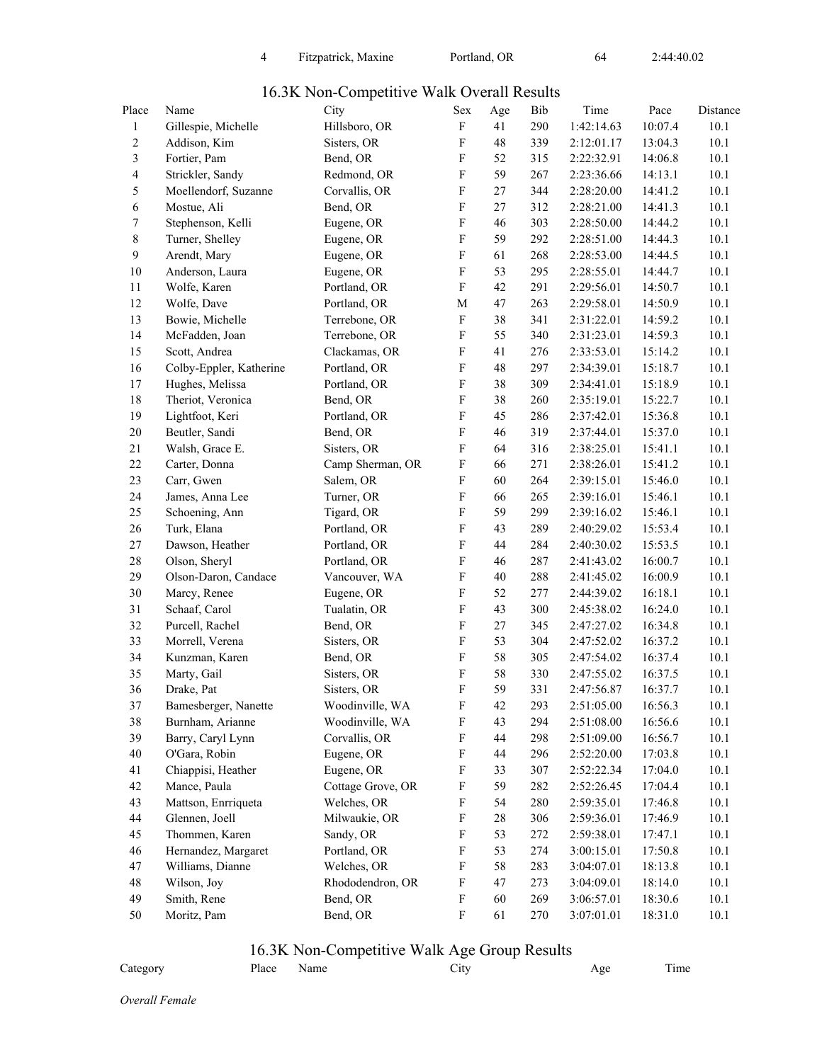| Place            | Name                    | City              | Sex                       | Age    | Bib | Time       | Pace    | Distance |
|------------------|-------------------------|-------------------|---------------------------|--------|-----|------------|---------|----------|
| $\mathbf{1}$     | Gillespie, Michelle     | Hillsboro, OR     | $\mathbf F$               | 41     | 290 | 1:42:14.63 | 10:07.4 | 10.1     |
| $\boldsymbol{2}$ | Addison, Kim            | Sisters, OR       | F                         | 48     | 339 | 2:12:01.17 | 13:04.3 | 10.1     |
| 3                | Fortier, Pam            | Bend, OR          | $\boldsymbol{\mathrm{F}}$ | 52     | 315 | 2:22:32.91 | 14:06.8 | 10.1     |
| 4                | Strickler, Sandy        | Redmond, OR       | $\boldsymbol{\mathrm{F}}$ | 59     | 267 | 2:23:36.66 | 14:13.1 | 10.1     |
| 5                | Moellendorf, Suzanne    | Corvallis, OR     | $\boldsymbol{\mathrm{F}}$ | 27     | 344 | 2:28:20.00 | 14:41.2 | 10.1     |
| 6                | Mostue, Ali             | Bend, OR          | $\boldsymbol{\mathrm{F}}$ | 27     | 312 | 2:28:21.00 | 14:41.3 | 10.1     |
| 7                | Stephenson, Kelli       | Eugene, OR        | $\boldsymbol{\mathrm{F}}$ | 46     | 303 | 2:28:50.00 | 14:44.2 | 10.1     |
| 8                | Turner, Shelley         | Eugene, OR        | $\boldsymbol{\mathrm{F}}$ | 59     | 292 | 2:28:51.00 | 14:44.3 | 10.1     |
| 9                | Arendt, Mary            | Eugene, OR        | $\boldsymbol{\mathrm{F}}$ | 61     | 268 | 2:28:53.00 | 14:44.5 | 10.1     |
| $10\,$           | Anderson, Laura         | Eugene, OR        | $\boldsymbol{\mathrm{F}}$ | 53     | 295 | 2:28:55.01 | 14:44.7 | 10.1     |
| 11               | Wolfe, Karen            | Portland, OR      | $\boldsymbol{\mathrm{F}}$ | 42     | 291 | 2:29:56.01 | 14:50.7 | 10.1     |
| 12               | Wolfe, Dave             | Portland, OR      | M                         | $47\,$ | 263 | 2:29:58.01 | 14:50.9 | 10.1     |
| 13               | Bowie, Michelle         | Terrebone, OR     | $\boldsymbol{\mathrm{F}}$ | 38     | 341 | 2:31:22.01 | 14:59.2 | 10.1     |
| 14               | McFadden, Joan          | Terrebone, OR     | $\mathbf F$               | 55     | 340 | 2:31:23.01 | 14:59.3 | 10.1     |
| 15               | Scott, Andrea           | Clackamas, OR     | $\boldsymbol{\mathrm{F}}$ | 41     | 276 | 2:33:53.01 | 15:14.2 | 10.1     |
| 16               | Colby-Eppler, Katherine | Portland, OR      | $\boldsymbol{\mathrm{F}}$ | 48     | 297 | 2:34:39.01 | 15:18.7 | 10.1     |
| 17               | Hughes, Melissa         | Portland, OR      | $\boldsymbol{\mathrm{F}}$ | 38     | 309 | 2:34:41.01 | 15:18.9 | 10.1     |
| 18               | Theriot, Veronica       | Bend, OR          | $\boldsymbol{\mathrm{F}}$ | 38     | 260 | 2:35:19.01 | 15:22.7 | 10.1     |
| 19               | Lightfoot, Keri         | Portland, OR      | $\boldsymbol{\mathrm{F}}$ | 45     | 286 | 2:37:42.01 | 15:36.8 | 10.1     |
| $20\,$           | Beutler, Sandi          | Bend, OR          | $\boldsymbol{\mathrm{F}}$ | 46     | 319 | 2:37:44.01 | 15:37.0 | 10.1     |
| 21               | Walsh, Grace E.         | Sisters, OR       | $\mathbf F$               | 64     | 316 | 2:38:25.01 | 15:41.1 | 10.1     |
| 22               | Carter, Donna           | Camp Sherman, OR  | $\boldsymbol{\mathrm{F}}$ | 66     | 271 | 2:38:26.01 | 15:41.2 | 10.1     |
| 23               | Carr, Gwen              | Salem, OR         | $\boldsymbol{\mathrm{F}}$ | 60     | 264 | 2:39:15.01 | 15:46.0 | 10.1     |
| 24               | James, Anna Lee         | Turner, OR        | $\boldsymbol{\mathrm{F}}$ | 66     | 265 | 2:39:16.01 | 15:46.1 | 10.1     |
| 25               | Schoening, Ann          | Tigard, OR        | $\boldsymbol{\mathrm{F}}$ | 59     | 299 | 2:39:16.02 | 15:46.1 | 10.1     |
| 26               | Turk, Elana             | Portland, OR      | $\boldsymbol{\mathrm{F}}$ | 43     | 289 | 2:40:29.02 | 15:53.4 | 10.1     |
| $27\,$           | Dawson, Heather         | Portland, OR      | $\boldsymbol{\mathrm{F}}$ | 44     | 284 | 2:40:30.02 | 15:53.5 | 10.1     |
| $28\,$           | Olson, Sheryl           | Portland, OR      | $\boldsymbol{\mathrm{F}}$ | 46     | 287 | 2:41:43.02 | 16:00.7 | 10.1     |
| 29               | Olson-Daron, Candace    | Vancouver, WA     | $\mathbf F$               | 40     | 288 | 2:41:45.02 | 16:00.9 | 10.1     |
| $30\,$           | Marcy, Renee            | Eugene, OR        | $\boldsymbol{\mathrm{F}}$ | 52     | 277 | 2:44:39.02 | 16:18.1 | 10.1     |
| 31               | Schaaf, Carol           | Tualatin, OR      | $\boldsymbol{\mathrm{F}}$ | 43     | 300 | 2:45:38.02 | 16:24.0 | 10.1     |
| 32               | Purcell, Rachel         | Bend, OR          | $\boldsymbol{\mathrm{F}}$ | 27     | 345 | 2:47:27.02 | 16:34.8 | 10.1     |
| 33               | Morrell, Verena         | Sisters, OR       | $\boldsymbol{\mathrm{F}}$ | 53     | 304 | 2:47:52.02 | 16:37.2 | 10.1     |
| 34               | Kunzman, Karen          | Bend, OR          | $\boldsymbol{\mathrm{F}}$ | 58     | 305 | 2:47:54.02 | 16:37.4 | 10.1     |
| 35               | Marty, Gail             | Sisters, OR       | $\boldsymbol{\mathrm{F}}$ | 58     | 330 | 2:47:55.02 | 16:37.5 | 10.1     |
| 36               | Drake, Pat              | Sisters, OR       | $\boldsymbol{\mathrm{F}}$ | 59     | 331 | 2:47:56.87 | 16:37.7 | 10.1     |
| 37               | Bamesberger, Nanette    | Woodinville, WA   | F                         | 42     | 293 | 2:51:05.00 | 16:56.3 | 10.1     |
| 38               | Burnham, Arianne        | Woodinville, WA   | F                         | 43     | 294 | 2:51:08.00 | 16:56.6 | 10.1     |
| 39               | Barry, Caryl Lynn       | Corvallis, OR     | F                         | 44     | 298 | 2:51:09.00 | 16:56.7 | 10.1     |
| 40               | O'Gara, Robin           | Eugene, OR        | F                         | 44     | 296 | 2:52:20.00 | 17:03.8 | 10.1     |
| 41               | Chiappisi, Heather      | Eugene, OR        | F                         | 33     | 307 | 2:52:22.34 | 17:04.0 | 10.1     |
| 42               | Mance, Paula            | Cottage Grove, OR | F                         | 59     | 282 | 2:52:26.45 | 17:04.4 | 10.1     |
| 43               | Mattson, Enrriqueta     | Welches, OR       | F                         | 54     | 280 | 2:59:35.01 | 17:46.8 | 10.1     |
| 44               | Glennen, Joell          | Milwaukie, OR     | F                         | 28     | 306 | 2:59:36.01 | 17:46.9 | 10.1     |
| 45               | Thommen, Karen          | Sandy, OR         | F                         | 53     | 272 | 2:59:38.01 | 17:47.1 | 10.1     |
| 46               | Hernandez, Margaret     | Portland, OR      | F                         | 53     | 274 | 3:00:15.01 | 17:50.8 | 10.1     |
| 47               | Williams, Dianne        | Welches, OR       | F                         | 58     | 283 | 3:04:07.01 | 18:13.8 | 10.1     |
| 48               | Wilson, Joy             | Rhododendron, OR  | ${\bf F}$                 | 47     | 273 | 3:04:09.01 | 18:14.0 | 10.1     |

#### 16.3K Non-Competitive Walk Overall Results

#### 16.3K Non-Competitive Walk Age Group Results

49 Smith, Rene Bend, OR F 60 269 3:06:57.01 18:30.6 10.1 50 Moritz, Pam Bend, OR F 61 270 3:07:01.01 18:31.0 10.1

| Category | Place Name |  | City | Age | Time |
|----------|------------|--|------|-----|------|
|----------|------------|--|------|-----|------|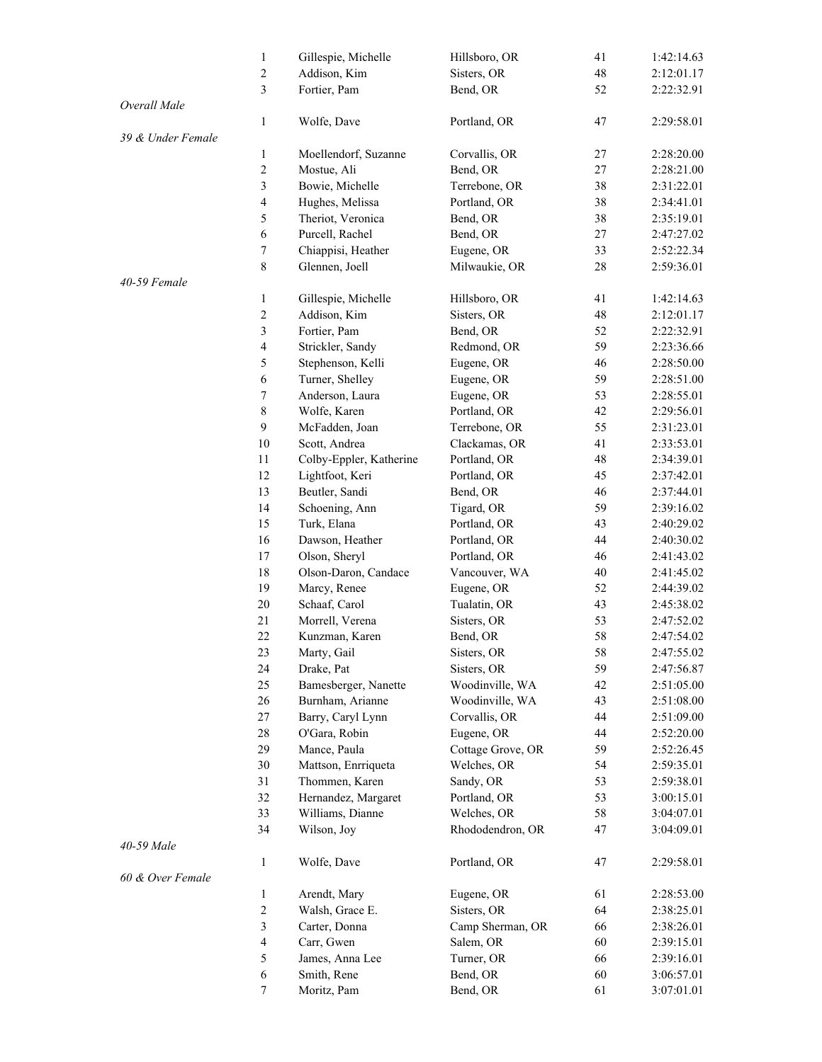|                   | $\mathbf{1}$     | Gillespie, Michelle     | Hillsboro, OR     | 41 | 1:42:14.63 |
|-------------------|------------------|-------------------------|-------------------|----|------------|
|                   | $\boldsymbol{2}$ | Addison, Kim            | Sisters, OR       | 48 | 2:12:01.17 |
|                   | $\mathfrak{Z}$   | Fortier, Pam            | Bend, OR          | 52 | 2:22:32.91 |
| Overall Male      |                  |                         |                   |    |            |
|                   | $\mathbf{1}$     | Wolfe, Dave             | Portland, OR      | 47 | 2:29:58.01 |
| 39 & Under Female |                  |                         |                   |    |            |
|                   | $\mathbf{1}$     | Moellendorf, Suzanne    | Corvallis, OR     | 27 | 2:28:20.00 |
|                   | $\sqrt{2}$       | Mostue, Ali             | Bend, OR          | 27 | 2:28:21.00 |
|                   | 3                | Bowie, Michelle         | Terrebone, OR     | 38 | 2:31:22.01 |
|                   | 4                | Hughes, Melissa         | Portland, OR      | 38 | 2:34:41.01 |
|                   | 5                | Theriot, Veronica       | Bend, OR          | 38 | 2:35:19.01 |
|                   | 6                | Purcell, Rachel         | Bend, OR          | 27 | 2:47:27.02 |
|                   |                  |                         |                   |    |            |
|                   | $\boldsymbol{7}$ | Chiappisi, Heather      | Eugene, OR        | 33 | 2:52:22.34 |
|                   | $\,$ 8 $\,$      | Glennen, Joell          | Milwaukie, OR     | 28 | 2:59:36.01 |
| 40-59 Female      |                  |                         |                   |    |            |
|                   | $\mathbf{1}$     | Gillespie, Michelle     | Hillsboro, OR     | 41 | 1:42:14.63 |
|                   | $\sqrt{2}$       | Addison, Kim            | Sisters, OR       | 48 | 2:12:01.17 |
|                   | 3                | Fortier, Pam            | Bend, OR          | 52 | 2:22:32.91 |
|                   | 4                | Strickler, Sandy        | Redmond, OR       | 59 | 2:23:36.66 |
|                   | 5                | Stephenson, Kelli       | Eugene, OR        | 46 | 2:28:50.00 |
|                   | 6                | Turner, Shelley         | Eugene, OR        | 59 | 2:28:51.00 |
|                   | $\boldsymbol{7}$ | Anderson, Laura         | Eugene, OR        | 53 | 2:28:55.01 |
|                   | $\,$ 8 $\,$      | Wolfe, Karen            | Portland, OR      | 42 | 2:29:56.01 |
|                   | 9                | McFadden, Joan          | Terrebone, OR     | 55 | 2:31:23.01 |
|                   | $10\,$           | Scott, Andrea           | Clackamas, OR     | 41 | 2:33:53.01 |
|                   | 11               | Colby-Eppler, Katherine | Portland, OR      | 48 | 2:34:39.01 |
|                   | 12               | Lightfoot, Keri         | Portland, OR      | 45 | 2:37:42.01 |
|                   | 13               | Beutler, Sandi          | Bend, OR          | 46 | 2:37:44.01 |
|                   | 14               | Schoening, Ann          | Tigard, OR        | 59 | 2:39:16.02 |
|                   | 15               | Turk, Elana             | Portland, OR      | 43 | 2:40:29.02 |
|                   | 16               | Dawson, Heather         | Portland, OR      | 44 | 2:40:30.02 |
|                   | 17               | Olson, Sheryl           | Portland, OR      | 46 | 2:41:43.02 |
|                   | 18               | Olson-Daron, Candace    | Vancouver, WA     | 40 | 2:41:45.02 |
|                   | 19               | Marcy, Renee            | Eugene, OR        | 52 | 2:44:39.02 |
|                   | 20               | Schaaf, Carol           | Tualatin, OR      | 43 | 2:45:38.02 |
|                   | 21               | Morrell, Verena         | Sisters, OR       | 53 | 2:47:52.02 |
|                   | 22               | Kunzman, Karen          | Bend, OR          | 58 | 2:47:54.02 |
|                   | 23               |                         | Sisters, OR       | 58 | 2:47:55.02 |
|                   | 24               | Marty, Gail             | Sisters, OR       |    |            |
|                   |                  | Drake, Pat              |                   | 59 | 2:47:56.87 |
|                   | 25               | Bamesberger, Nanette    | Woodinville, WA   | 42 | 2:51:05.00 |
|                   | 26               | Burnham, Arianne        | Woodinville, WA   | 43 | 2:51:08.00 |
|                   | 27               | Barry, Caryl Lynn       | Corvallis, OR     | 44 | 2:51:09.00 |
|                   | 28               | O'Gara, Robin           | Eugene, OR        | 44 | 2:52:20.00 |
|                   | 29               | Mance, Paula            | Cottage Grove, OR | 59 | 2:52:26.45 |
|                   | 30               | Mattson, Enrriqueta     | Welches, OR       | 54 | 2:59:35.01 |
|                   | 31               | Thommen, Karen          | Sandy, OR         | 53 | 2:59:38.01 |
|                   | 32               | Hernandez, Margaret     | Portland, OR      | 53 | 3:00:15.01 |
|                   | 33               | Williams, Dianne        | Welches, OR       | 58 | 3:04:07.01 |
|                   | 34               | Wilson, Joy             | Rhododendron, OR  | 47 | 3:04:09.01 |
| 40-59 Male        |                  |                         |                   |    |            |
|                   | $\mathbf{1}$     | Wolfe, Dave             | Portland, OR      | 47 | 2:29:58.01 |
| 60 & Over Female  |                  |                         |                   |    |            |
|                   | 1                | Arendt, Mary            | Eugene, OR        | 61 | 2:28:53.00 |
|                   | $\sqrt{2}$       | Walsh, Grace E.         | Sisters, OR       | 64 | 2:38:25.01 |
|                   | $\mathfrak{Z}$   | Carter, Donna           | Camp Sherman, OR  | 66 | 2:38:26.01 |
|                   | $\overline{4}$   | Carr, Gwen              | Salem, OR         | 60 | 2:39:15.01 |
|                   | 5                | James, Anna Lee         | Turner, OR        | 66 | 2:39:16.01 |
|                   | 6                | Smith, Rene             | Bend, OR          | 60 | 3:06:57.01 |
|                   | 7                | Moritz, Pam             | Bend, OR          | 61 | 3:07:01.01 |
|                   |                  |                         |                   |    |            |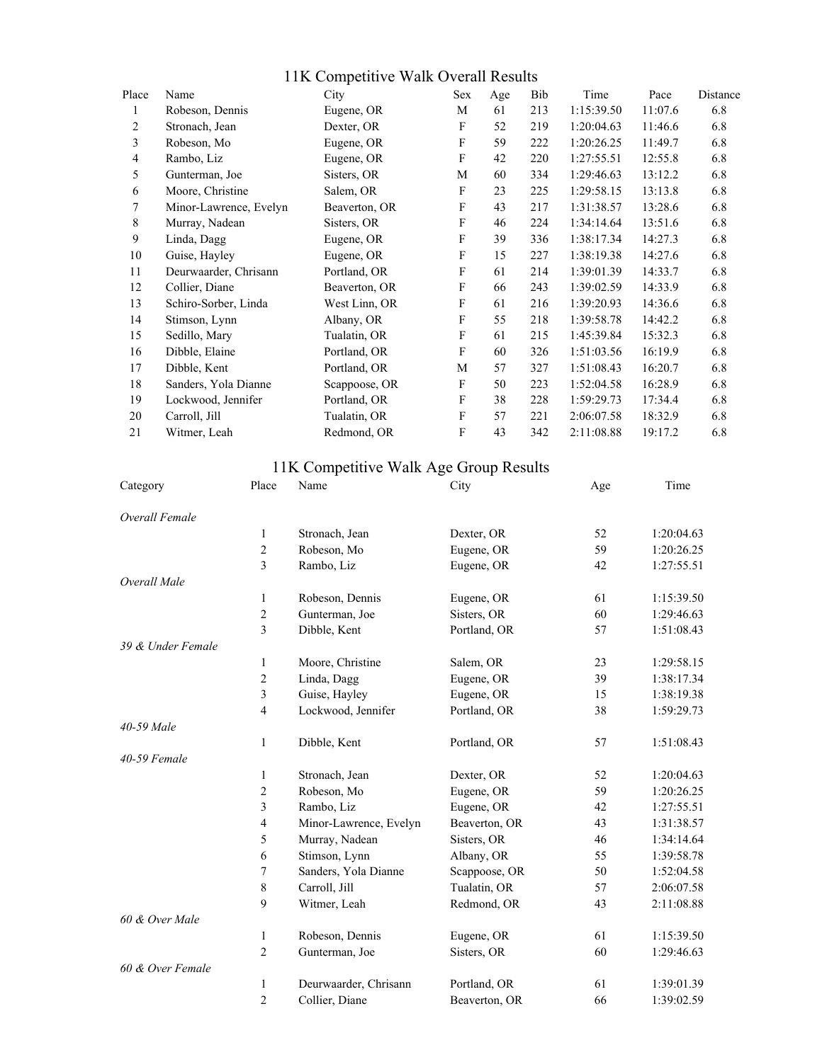| 11K Competitive Walk Overall Results |  |  |  |
|--------------------------------------|--|--|--|
|--------------------------------------|--|--|--|

| Name                   | City          | Sex | Age | Bib | Time       | Pace    | Distance |
|------------------------|---------------|-----|-----|-----|------------|---------|----------|
| Robeson, Dennis        | Eugene, OR    | M   | 61  | 213 | 1:15:39.50 | 11:07.6 | 6.8      |
| Stronach, Jean         | Dexter, OR    | F   | 52  | 219 | 1:20:04.63 | 11:46.6 | 6.8      |
| Robeson, Mo            | Eugene, OR    | F   | 59  | 222 | 1:20:26.25 | 11:49.7 | 6.8      |
| Rambo, Liz             | Eugene, OR    | F   | 42  | 220 | 1:27:55.51 | 12:55.8 | 6.8      |
| Gunterman, Joe         | Sisters, OR   | M   | 60  | 334 | 1:29:46.63 | 13:12.2 | 6.8      |
| Moore, Christine       | Salem, OR     | F   | 23  | 225 | 1:29:58.15 | 13:13.8 | 6.8      |
| Minor-Lawrence, Evelyn | Beaverton, OR | F   | 43  | 217 | 1:31:38.57 | 13:28.6 | 6.8      |
| Murray, Nadean         | Sisters, OR   | F   | 46  | 224 | 1:34:14.64 | 13:51.6 | 6.8      |
| Linda, Dagg            | Eugene, OR    | F   | 39  | 336 | 1:38:17.34 | 14:27.3 | 6.8      |
| Guise, Hayley          | Eugene, OR    | F   | 15  | 227 | 1:38:19.38 | 14:27.6 | 6.8      |
| Deurwaarder, Chrisann  | Portland, OR  | F   | 61  | 214 | 1:39:01.39 | 14:33.7 | 6.8      |
| Collier, Diane         | Beaverton, OR | F   | 66  | 243 | 1:39:02.59 | 14:33.9 | 6.8      |
| Schiro-Sorber, Linda   | West Linn, OR | F   | 61  | 216 | 1:39:20.93 | 14:36.6 | 6.8      |
| Stimson, Lynn          | Albany, OR    | F   | 55  | 218 | 1:39:58.78 | 14:42.2 | 6.8      |
| Sedillo, Mary          | Tualatin, OR  | F   | 61  | 215 | 1:45:39.84 | 15:32.3 | 6.8      |
| Dibble, Elaine         | Portland, OR  | F   | 60  | 326 | 1:51:03.56 | 16:19.9 | 6.8      |
| Dibble, Kent           | Portland, OR  | M   | 57  | 327 | 1:51:08.43 | 16:20.7 | 6.8      |
| Sanders, Yola Dianne   | Scappoose, OR | F   | 50  | 223 | 1:52:04.58 | 16:28.9 | 6.8      |
| Lockwood, Jennifer     | Portland, OR  | F   | 38  | 228 | 1:59:29.73 | 17:34.4 | 6.8      |
| Carroll, Jill          | Tualatin, OR  | F   | 57  | 221 | 2:06:07.58 | 18:32.9 | 6.8      |
| Witmer, Leah           | Redmond, OR   | F   | 43  | 342 | 2:11:08.88 | 19:17.2 | 6.8      |
|                        |               |     |     |     |            |         |          |

#### 11K Competitive Walk Age Group Results

| Category          | Place          | Name                   | City          | Age | Time       |
|-------------------|----------------|------------------------|---------------|-----|------------|
| Overall Female    |                |                        |               |     |            |
|                   | 1              | Stronach, Jean         | Dexter, OR    | 52  | 1:20:04.63 |
|                   | $\sqrt{2}$     | Robeson, Mo            | Eugene, OR    | 59  | 1:20:26.25 |
|                   | 3              | Rambo, Liz             | Eugene, OR    | 42  | 1:27:55.51 |
| Overall Male      |                |                        |               |     |            |
|                   | 1              | Robeson, Dennis        | Eugene, OR    | 61  | 1:15:39.50 |
|                   | $\overline{c}$ | Gunterman, Joe         | Sisters, OR   | 60  | 1:29:46.63 |
|                   | $\mathfrak{Z}$ | Dibble, Kent           | Portland, OR  | 57  | 1:51:08.43 |
| 39 & Under Female |                |                        |               |     |            |
|                   | 1              | Moore, Christine       | Salem, OR     | 23  | 1:29:58.15 |
|                   | $\overline{c}$ | Linda, Dagg            | Eugene, OR    | 39  | 1:38:17.34 |
|                   | 3              | Guise, Hayley          | Eugene, OR    | 15  | 1:38:19.38 |
|                   | $\overline{4}$ | Lockwood, Jennifer     | Portland, OR  | 38  | 1:59:29.73 |
| 40-59 Male        |                |                        |               |     |            |
|                   | 1              | Dibble, Kent           | Portland, OR  | 57  | 1:51:08.43 |
| 40-59 Female      |                |                        |               |     |            |
|                   | 1              | Stronach, Jean         | Dexter, OR    | 52  | 1:20:04.63 |
|                   | $\overline{2}$ | Robeson, Mo            | Eugene, OR    | 59  | 1:20:26.25 |
|                   | 3              | Rambo, Liz             | Eugene, OR    | 42  | 1:27:55.51 |
|                   | $\overline{4}$ | Minor-Lawrence, Evelyn | Beaverton, OR | 43  | 1:31:38.57 |
|                   | 5              | Murray, Nadean         | Sisters, OR   | 46  | 1:34:14.64 |
|                   | 6              | Stimson, Lynn          | Albany, OR    | 55  | 1:39:58.78 |
|                   | 7              | Sanders, Yola Dianne   | Scappoose, OR | 50  | 1:52:04.58 |
|                   | 8              | Carroll, Jill          | Tualatin, OR  | 57  | 2:06:07.58 |
|                   | 9              | Witmer, Leah           | Redmond, OR   | 43  | 2:11:08.88 |
| 60 & Over Male    |                |                        |               |     |            |
|                   | 1              | Robeson, Dennis        | Eugene, OR    | 61  | 1:15:39.50 |
|                   | $\overline{2}$ | Gunterman, Joe         | Sisters, OR   | 60  | 1:29:46.63 |
| 60 & Over Female  |                |                        |               |     |            |
|                   | 1              | Deurwaarder, Chrisann  | Portland, OR  | 61  | 1:39:01.39 |
|                   | $\overline{2}$ | Collier, Diane         | Beaverton, OR | 66  | 1:39:02.59 |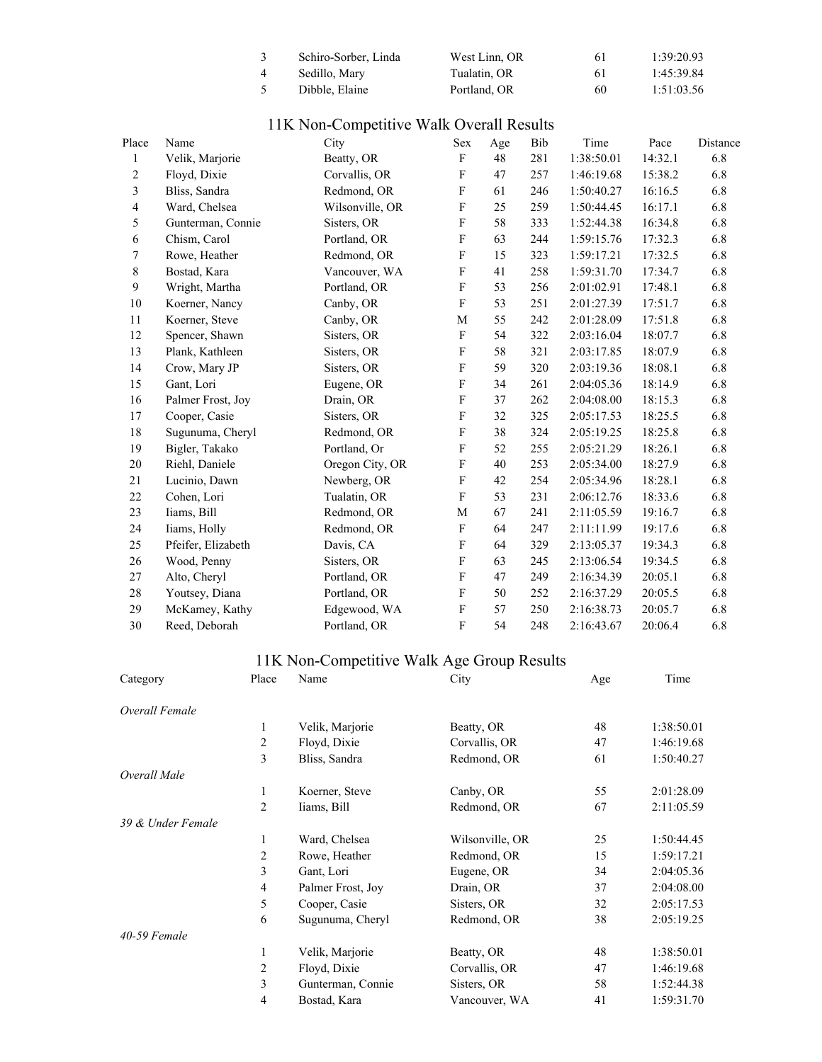| Schiro-Sorber, Linda | West Linn. OR | 61 | 1:39:20.93 |
|----------------------|---------------|----|------------|
| Sedillo, Mary        | Tualatin. OR  | 61 | 1:45:39.84 |
| Dibble. Elaine       | Portland, OR  | 60 | 1:51:03.56 |

| 11K Non-Competitive Walk Overall Results |  |
|------------------------------------------|--|
|------------------------------------------|--|

| Place | Name               | City            | Sex                       | Age | Bib | Time       | Pace    | Distance |
|-------|--------------------|-----------------|---------------------------|-----|-----|------------|---------|----------|
| 1     | Velik, Marjorie    | Beatty, OR      | $\mathbf{F}$              | 48  | 281 | 1:38:50.01 | 14:32.1 | 6.8      |
| 2     | Floyd, Dixie       | Corvallis, OR   | F                         | 47  | 257 | 1:46:19.68 | 15:38.2 | 6.8      |
| 3     | Bliss, Sandra      | Redmond, OR     | F                         | 61  | 246 | 1:50:40.27 | 16:16.5 | 6.8      |
| 4     | Ward, Chelsea      | Wilsonville, OR | $\boldsymbol{\mathrm{F}}$ | 25  | 259 | 1:50:44.45 | 16:17.1 | 6.8      |
| 5     | Gunterman, Connie  | Sisters, OR     | $\mathbf{F}$              | 58  | 333 | 1:52:44.38 | 16:34.8 | 6.8      |
| 6     | Chism, Carol       | Portland, OR    | $\mathbf{F}$              | 63  | 244 | 1:59:15.76 | 17:32.3 | 6.8      |
| 7     | Rowe, Heather      | Redmond, OR     | $\mathbf{F}$              | 15  | 323 | 1:59:17.21 | 17:32.5 | 6.8      |
| 8     | Bostad, Kara       | Vancouver, WA   | $\mathbf{F}$              | 41  | 258 | 1:59:31.70 | 17:34.7 | 6.8      |
| 9     | Wright, Martha     | Portland, OR    | F                         | 53  | 256 | 2:01:02.91 | 17:48.1 | 6.8      |
| 10    | Koerner, Nancy     | Canby, OR       | F                         | 53  | 251 | 2:01:27.39 | 17:51.7 | 6.8      |
| 11    | Koerner, Steve     | Canby, OR       | M                         | 55  | 242 | 2:01:28.09 | 17:51.8 | 6.8      |
| 12    | Spencer, Shawn     | Sisters, OR     | $\mathbf{F}$              | 54  | 322 | 2:03:16.04 | 18:07.7 | 6.8      |
| 13    | Plank, Kathleen    | Sisters, OR     | $\rm F$                   | 58  | 321 | 2:03:17.85 | 18:07.9 | 6.8      |
| 14    | Crow, Mary JP      | Sisters, OR     | F                         | 59  | 320 | 2:03:19.36 | 18:08.1 | 6.8      |
| 15    | Gant, Lori         | Eugene, OR      | $\mathbf{F}$              | 34  | 261 | 2:04:05.36 | 18:14.9 | 6.8      |
| 16    | Palmer Frost, Joy  | Drain, OR       | F                         | 37  | 262 | 2:04:08.00 | 18:15.3 | 6.8      |
| 17    | Cooper, Casie      | Sisters, OR     | $\mathbf{F}$              | 32  | 325 | 2:05:17.53 | 18:25.5 | 6.8      |
| 18    | Sugunuma, Cheryl   | Redmond, OR     | F                         | 38  | 324 | 2:05:19.25 | 18:25.8 | 6.8      |
| 19    | Bigler, Takako     | Portland, Or    | $\mathbf{F}$              | 52  | 255 | 2:05:21.29 | 18:26.1 | 6.8      |
| 20    | Riehl, Daniele     | Oregon City, OR | $\mathbf{F}$              | 40  | 253 | 2:05:34.00 | 18:27.9 | 6.8      |
| 21    | Lucinio, Dawn      | Newberg, OR     | F                         | 42  | 254 | 2:05:34.96 | 18:28.1 | 6.8      |
| 22    | Cohen, Lori        | Tualatin, OR    | $\mathbf{F}$              | 53  | 231 | 2:06:12.76 | 18:33.6 | 6.8      |
| 23    | Iiams, Bill        | Redmond, OR     | M                         | 67  | 241 | 2:11:05.59 | 19:16.7 | 6.8      |
| 24    | Iiams, Holly       | Redmond, OR     | $\mathbf{F}$              | 64  | 247 | 2:11:11.99 | 19:17.6 | 6.8      |
| 25    | Pfeifer, Elizabeth | Davis, CA       | F                         | 64  | 329 | 2:13:05.37 | 19:34.3 | 6.8      |
| 26    | Wood, Penny        | Sisters, OR     | F                         | 63  | 245 | 2:13:06.54 | 19:34.5 | 6.8      |
| 27    | Alto, Cheryl       | Portland, OR    | $\mathbf{F}$              | 47  | 249 | 2:16:34.39 | 20:05.1 | 6.8      |
| 28    | Youtsey, Diana     | Portland, OR    | $\mathbf{F}$              | 50  | 252 | 2:16:37.29 | 20:05.5 | 6.8      |
| 29    | McKamey, Kathy     | Edgewood, WA    | $\mathbf{F}$              | 57  | 250 | 2:16:38.73 | 20:05.7 | 6.8      |
| 30    | Reed, Deborah      | Portland, OR    | F                         | 54  | 248 | 2:16:43.67 | 20:06.4 | 6.8      |

## 11K Non-Competitive Walk Age Group Results

| Category          | Place          | Name              | City            | Age | Time       |
|-------------------|----------------|-------------------|-----------------|-----|------------|
| Overall Female    |                |                   |                 |     |            |
|                   | 1              | Velik, Marjorie   | Beatty, OR      | 48  | 1:38:50.01 |
|                   | 2              | Floyd, Dixie      | Corvallis, OR   | 47  | 1:46:19.68 |
|                   | 3              | Bliss, Sandra     | Redmond, OR     | 61  | 1:50:40.27 |
| Overall Male      |                |                   |                 |     |            |
|                   | $\mathbf{1}$   | Koerner, Steve    | Canby, OR       | 55  | 2:01:28.09 |
|                   | $\overline{2}$ | Iiams, Bill       | Redmond, OR     | 67  | 2:11:05.59 |
| 39 & Under Female |                |                   |                 |     |            |
|                   | 1              | Ward, Chelsea     | Wilsonville, OR | 25  | 1:50:44.45 |
|                   | $\overline{2}$ | Rowe, Heather     | Redmond, OR     | 15  | 1:59:17.21 |
|                   | 3              | Gant, Lori        | Eugene, OR      | 34  | 2:04:05.36 |
|                   | $\overline{4}$ | Palmer Frost, Joy | Drain, OR       | 37  | 2:04:08.00 |
|                   | 5              | Cooper, Casie     | Sisters, OR     | 32  | 2:05:17.53 |
|                   | 6              | Sugunuma, Cheryl  | Redmond, OR     | 38  | 2:05:19.25 |
| $40-59$ Female    |                |                   |                 |     |            |
|                   | $\mathbf{1}$   | Velik, Marjorie   | Beatty, OR      | 48  | 1:38:50.01 |
|                   | $\overline{c}$ | Floyd, Dixie      | Corvallis, OR   | 47  | 1:46:19.68 |
|                   | 3              | Gunterman, Connie | Sisters, OR     | 58  | 1:52:44.38 |
|                   | 4              | Bostad, Kara      | Vancouver, WA   | 41  | 1:59:31.70 |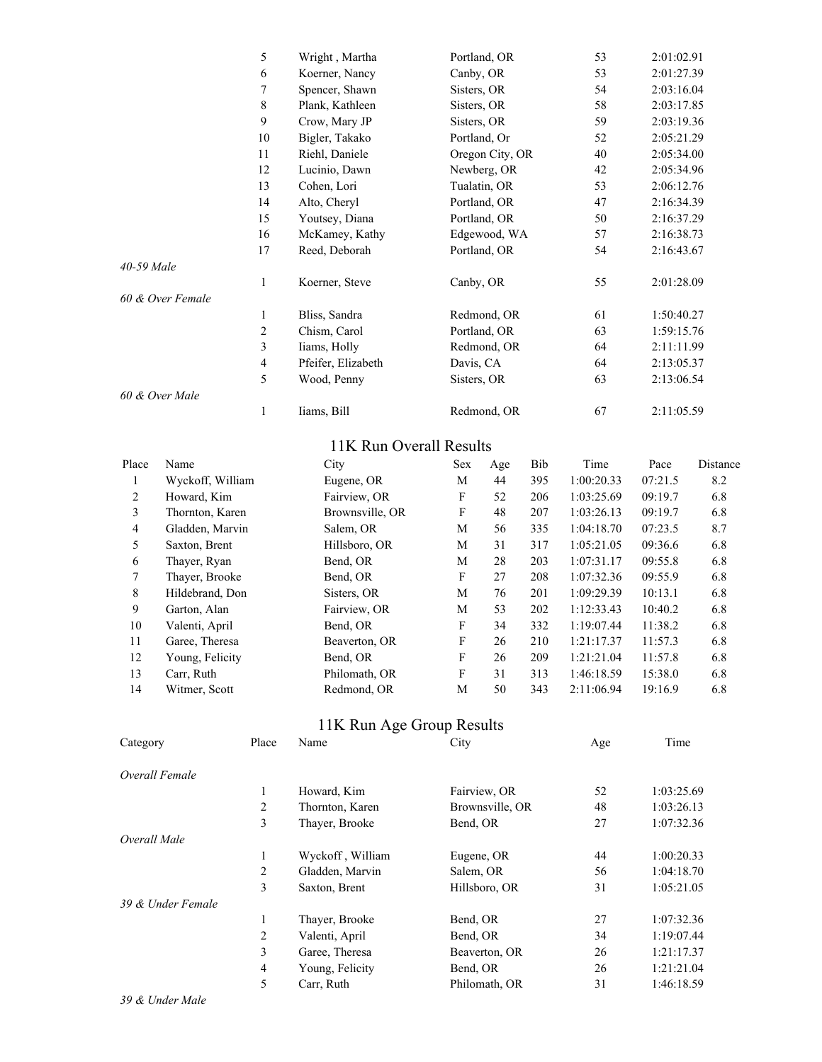|                  | 5              | Wright, Martha     | Portland, OR    | 53 | 2:01:02.91 |
|------------------|----------------|--------------------|-----------------|----|------------|
|                  | 6              | Koerner, Nancy     | Canby, OR       | 53 | 2:01:27.39 |
|                  | 7              | Spencer, Shawn     | Sisters, OR     | 54 | 2:03:16.04 |
|                  | $\,$ 8 $\,$    | Plank, Kathleen    | Sisters, OR     | 58 | 2:03:17.85 |
|                  | 9              | Crow, Mary JP      | Sisters, OR     | 59 | 2:03:19.36 |
|                  | 10             | Bigler, Takako     | Portland, Or    | 52 | 2:05:21.29 |
|                  | 11             | Riehl, Daniele     | Oregon City, OR | 40 | 2:05:34.00 |
|                  | 12             | Lucinio, Dawn      | Newberg, OR     | 42 | 2:05:34.96 |
|                  | 13             | Cohen, Lori        | Tualatin, OR    | 53 | 2:06:12.76 |
|                  | 14             | Alto, Cheryl       | Portland, OR    | 47 | 2:16:34.39 |
|                  | 15             | Youtsey, Diana     | Portland, OR    | 50 | 2:16:37.29 |
|                  | 16             | McKamey, Kathy     | Edgewood, WA    | 57 | 2:16:38.73 |
|                  | 17             | Reed, Deborah      | Portland, OR    | 54 | 2:16:43.67 |
| 40-59 Male       |                |                    |                 |    |            |
|                  | 1              | Koerner, Steve     | Canby, OR       | 55 | 2:01:28.09 |
| 60 & Over Female |                |                    |                 |    |            |
|                  | 1              | Bliss, Sandra      | Redmond, OR     | 61 | 1:50:40.27 |
|                  | $\overline{2}$ | Chism, Carol       | Portland, OR    | 63 | 1:59:15.76 |
|                  | 3              | Iiams, Holly       | Redmond, OR     | 64 | 2:11:11.99 |
|                  | $\overline{4}$ | Pfeifer, Elizabeth | Davis, CA       | 64 | 2:13:05.37 |
|                  | 5              | Wood, Penny        | Sisters, OR     | 63 | 2:13:06.54 |
| 60 & Over Male   |                |                    |                 |    |            |
|                  | 1              | Iiams, Bill        | Redmond, OR     | 67 | 2:11:05.59 |

## 11K Run Overall Results

| Place          | Name             | City            | <b>Sex</b> | Age | Bib | Time       | Pace    | Distance |
|----------------|------------------|-----------------|------------|-----|-----|------------|---------|----------|
|                | Wyckoff, William | Eugene, OR      | М          | 44  | 395 | 1:00:20.33 | 07:21.5 | 8.2      |
| $\overline{2}$ | Howard, Kim      | Fairview, OR    | F          | 52  | 206 | 1:03:25.69 | 09:19.7 | 6.8      |
| 3              | Thornton, Karen  | Brownsville, OR | F          | 48  | 207 | 1:03:26.13 | 09:19.7 | 6.8      |
| 4              | Gladden, Marvin  | Salem, OR       | М          | 56  | 335 | 1:04:18.70 | 07:23.5 | 8.7      |
| 5.             | Saxton, Brent    | Hillsboro, OR   | М          | 31  | 317 | 1:05:21.05 | 09:36.6 | 6.8      |
| 6              | Thaver, Ryan     | Bend, OR        | М          | 28  | 203 | 1:07:31.17 | 09:55.8 | 6.8      |
| 7              | Thaver, Brooke   | Bend, OR        | F          | 27  | 208 | 1:07:32.36 | 09:55.9 | 6.8      |
| 8              | Hildebrand, Don  | Sisters, OR     | М          | 76  | 201 | 1:09:29.39 | 10:13.1 | 6.8      |
| 9              | Garton, Alan     | Fairview, OR    | M          | 53  | 202 | 1:12:33.43 | 10:40.2 | 6.8      |
| 10             | Valenti, April   | Bend, OR        | F          | 34  | 332 | 1:19:07.44 | 11:38.2 | 6.8      |
| 11             | Garee, Theresa   | Beaverton, OR   | F          | 26  | 210 | 1:21:17.37 | 11:57.3 | 6.8      |
| 12             | Young, Felicity  | Bend, OR        | F          | 26  | 209 | 1:21:21.04 | 11:57.8 | 6.8      |
| 13             | Carr, Ruth       | Philomath, OR   | F          | 31  | 313 | 1:46:18.59 | 15:38.0 | 6.8      |
| 14             | Witmer, Scott    | Redmond, OR     | М          | 50  | 343 | 2:11:06.94 | 19:16.9 | 6.8      |

#### 11K Run Age Group Results

| Category          | Place | Name             | City            | Age | Time       |
|-------------------|-------|------------------|-----------------|-----|------------|
| Overall Female    |       |                  |                 |     |            |
|                   | 1     | Howard, Kim      | Fairview, OR    | 52  | 1:03:25.69 |
|                   | 2     | Thornton, Karen  | Brownsville, OR | 48  | 1:03:26.13 |
|                   | 3     | Thayer, Brooke   | Bend, OR        | 27  | 1:07:32.36 |
| Overall Male      |       |                  |                 |     |            |
|                   | 1     | Wyckoff, William | Eugene, OR      | 44  | 1:00:20.33 |
|                   | 2     | Gladden, Marvin  | Salem, OR       | 56  | 1:04:18.70 |
|                   | 3     | Saxton, Brent    | Hillsboro, OR   | 31  | 1:05:21.05 |
| 39 & Under Female |       |                  |                 |     |            |
|                   | 1     | Thayer, Brooke   | Bend, OR        | 27  | 1:07:32.36 |
|                   | 2     | Valenti, April   | Bend, OR        | 34  | 1:19:07.44 |
|                   | 3     | Garee, Theresa   | Beaverton, OR   | 26  | 1:21:17.37 |
|                   | 4     | Young, Felicity  | Bend, OR        | 26  | 1:21:21.04 |
|                   | 5     | Carr, Ruth       | Philomath, OR   | 31  | 1:46:18.59 |